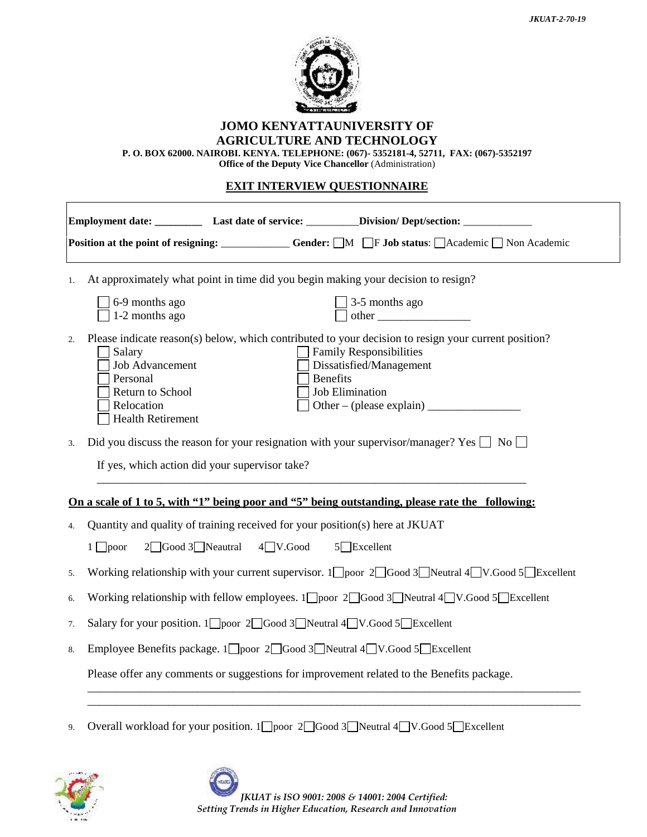

## **JOMO KENYATTAUNIVERSITY OF AGRICULTURE AND TECHNOLOGY**

**P. O. BOX 62000. NAIROBI. KENYA. TELEPHONE: (067)- 5352181-4, 52711, FAX: (067)-5352197**

**Office of the Deputy Vice Chancellor** (Administration)

## **EXIT INTERVIEW QUESTIONNAIRE**

|                                                                                                                                                            | Employment date: _____________ Last date of service: ___________Division/Dept/section: ____________                                                                                                                                                                                                                                                                                                                                        |  |  |
|------------------------------------------------------------------------------------------------------------------------------------------------------------|--------------------------------------------------------------------------------------------------------------------------------------------------------------------------------------------------------------------------------------------------------------------------------------------------------------------------------------------------------------------------------------------------------------------------------------------|--|--|
| Position at the point of resigning: ___________ Gender: □M □F Job status: □Academic □ Non Academic                                                         |                                                                                                                                                                                                                                                                                                                                                                                                                                            |  |  |
| At approximately what point in time did you begin making your decision to resign?<br>1.                                                                    |                                                                                                                                                                                                                                                                                                                                                                                                                                            |  |  |
|                                                                                                                                                            | 6-9 months ago<br>3-5 months ago<br>other<br>1-2 months ago                                                                                                                                                                                                                                                                                                                                                                                |  |  |
| 2.                                                                                                                                                         | Please indicate reason(s) below, which contributed to your decision to resign your current position?<br><b>Family Responsibilities</b><br>Salary<br><b>Job Advancement</b><br>Dissatisfied/Management<br>Benefits<br>Personal<br><b>Job Elimination</b><br>Return to School<br>Other – (please explain) $\frac{1}{\sqrt{1-\frac{1}{2}}\sqrt{1-\frac{1}{2}}\left(\frac{1}{2}-\frac{1}{2}\right)}$<br>Relocation<br><b>Health Retirement</b> |  |  |
| Did you discuss the reason for your resignation with your supervisor/manager? Yes $\Box$ No $\Box$<br>3.<br>If yes, which action did your supervisor take? |                                                                                                                                                                                                                                                                                                                                                                                                                                            |  |  |
| On a scale of 1 to 5, with "1" being poor and "5" being outstanding, please rate the following:                                                            |                                                                                                                                                                                                                                                                                                                                                                                                                                            |  |  |
| 4.                                                                                                                                                         | Quantity and quality of training received for your position(s) here at JKUAT                                                                                                                                                                                                                                                                                                                                                               |  |  |
|                                                                                                                                                            | $4$ V.Good<br>$2 \square$ Good $3 \square$ Neautral<br>$5$ Excellent<br>$1 \Box$ poor                                                                                                                                                                                                                                                                                                                                                      |  |  |
| 5.                                                                                                                                                         | Working relationship with your current supervisor. $1 \square$ poor $2 \square$ Good $3 \square$ Neutral $4 \square V$ .Good $5 \square$ Excellent                                                                                                                                                                                                                                                                                         |  |  |
| 6.                                                                                                                                                         | Working relationship with fellow employees. $1 \square$ poor $2 \square$ Good 3 Neutral $4 \square V$ . Good 5 Excellent                                                                                                                                                                                                                                                                                                                   |  |  |
| 7.                                                                                                                                                         | Salary for your position. 1 poor 2 Good 3 Neutral 4 V.Good 5 Excellent                                                                                                                                                                                                                                                                                                                                                                     |  |  |
| 8.                                                                                                                                                         | Employee Benefits package. 1 poor 2 Good 3 Neutral 4 V.Good 5 Excellent<br>Please offer any comments or suggestions for improvement related to the Benefits package.                                                                                                                                                                                                                                                                       |  |  |
|                                                                                                                                                            |                                                                                                                                                                                                                                                                                                                                                                                                                                            |  |  |
|                                                                                                                                                            |                                                                                                                                                                                                                                                                                                                                                                                                                                            |  |  |

9. Overall workload for your position. 1 poor 2 Good 3 Neutral 4 V.Good 5 Excellent